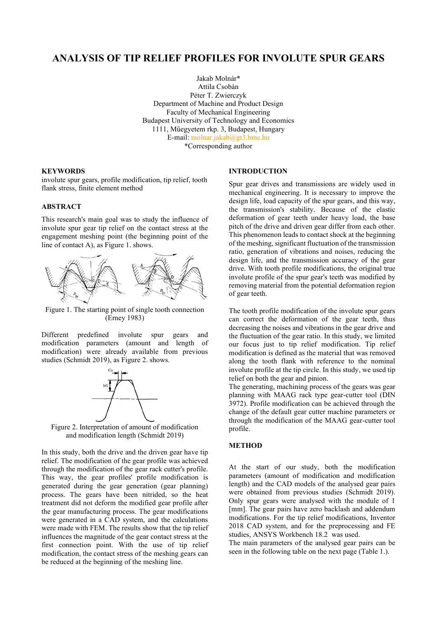# **ANALYSIS OF TIP RELIEF PROFILES FOR INVOLUTE SPUR GEARS**

Jakab Molnár\* Attila Csobán Péter T. Zwierczyk Department of Machine and Product Design Faculty of Mechanical Engineering Budapest University of Technology and Economics 1111, Műegyetem rkp. 3, Budapest, Hungary E-mail[: molnar.jakab@gt3.bme.hu](mailto:molnar.jakab@gt3.bme.hu) \*Corresponding author

#### **KEYWORDS**

involute spur gears, profile modification, tip relief, tooth flank stress, finite element method

## **ABSTRACT**

This research's main goal was to study the influence of involute spur gear tip relief on the contact stress at the engagement meshing point (the beginning point of the line of contact A), as Figure 1. shows.



Figure 1. The starting point of single tooth connection (Erney 1983)

Different predefined involute spur gears and modification parameters (amount and length of modification) were already available from previous studies (Schmidt 2019), as Figure 2. shows.



Figure 2. Interpretation of amount of modification and modification length (Schmidt 2019)

In this study, both the drive and the driven gear have tip relief. The modification of the gear profile was achieved through the modification of the gear rack cutter's profile. This way, the gear profiles' profile modification is generated during the gear generation (gear planning) process. The gears have been nitrided, so the heat treatment did not deform the modified gear profile after the gear manufacturing process. The gear modifications were generated in a CAD system, and the calculations were made with FEM. The results show that the tip relief influences the magnitude of the gear contact stress at the first connection point. With the use of tip relief modification, the contact stress of the meshing gears can be reduced at the beginning of the meshing line.

Communications of the ECMS, Volume 35, Issue 1, Proceedings, ©ECMS Khalid Al-Begain, Mauro Iacono, Lelio Campanile, Andrzej Bargiela (Editors) ISBN: 978-3-937436-72-2 / 78-3-937436-73-9(CD) ISSN 2522-2414

#### **INTRODUCTION**

Spur gear drives and transmissions are widely used in mechanical engineering. It is necessary to improve the design life, load capacity of the spur gears, and this way, the transmission's stability. Because of the elastic deformation of gear teeth under heavy load, the base pitch of the drive and driven gear differ from each other. This phenomenon leads to contact shock at the beginning of the meshing, significant fluctuation of the transmission ratio, generation of vibrations and noises, reducing the design life, and the transmission accuracy of the gear drive. With tooth profile modifications, the original true involute profile of the spur gear's teeth was modified by removing material from the potential deformation region of gear teeth.

The tooth profile modification of the involute spur gears can correct the deformation of the gear teeth, thus decreasing the noises and vibrations in the gear drive and the fluctuation of the gear ratio. In this study, we limited our focus just to tip relief modification. Tip relief modification is defined as the material that was removed along the tooth flank with reference to the nominal involute profile at the tip circle. In this study, we used tip relief on both the gear and pinion.

The generating, machining process of the gears was gear planning with MAAG rack type gear-cutter tool (DIN 3972). Profile modification can be achieved through the change of the default gear cutter machine parameters or through the modification of the MAAG gear-cutter tool profile.

## **METHOD**

At the start of our study, both the modification parameters (amount of modification and modification length) and the CAD models of the analysed gear pairs were obtained from previous studies (Schmidt 2019). Only spur gears were analysed with the module of 1 [mm]. The gear pairs have zero backlash and addendum modifications. For the tip relief modifications, Inventor 2018 CAD system, and for the preprocessing and FE studies, ANSYS Workbench 18.2 was used.

The main parameters of the analysed gear pairs can be seen in the following table on the next page (Table 1.).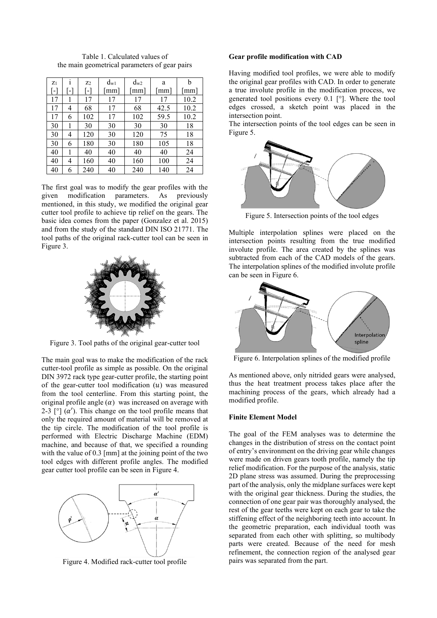| $z_1$ |                | $Z_2$ | $d_{\rm w1}$ | $d_{\rm w2}$ | a    | b    |
|-------|----------------|-------|--------------|--------------|------|------|
| r-1   |                | t-t   | mm           | mm]          | [mm] | [mm] |
| 17    |                | 17    | 17           | 17           | 17   | 10.2 |
| 17    | 4              | 68    | 17           | 68           | 42.5 | 10.2 |
| 17    | 6              | 102   | 17           | 102          | 59.5 | 10.2 |
| 30    |                | 30    | 30           | 30           | 30   | 18   |
| 30    | 4              | 120   | 30           | 120          | 75   | 18   |
| 30    | 6              | 180   | 30           | 180          | 105  | 18   |
| 40    |                | 40    | 40           | 40           | 40   | 24   |
| 40    | $\overline{4}$ | 160   | 40           | 160          | 100  | 24   |
| 40    | 6              | 240   | 40           | 240          | 140  | 24   |

Table 1. Calculated values of the main geometrical parameters of gear pairs

The first goal was to modify the gear profiles with the given modification parameters. As previously mentioned, in this study, we modified the original gear cutter tool profile to achieve tip relief on the gears. The basic idea comes from the paper (Gonzalez et al. 2015) and from the study of the standard DIN ISO 21771. The tool paths of the original rack-cutter tool can be seen in Figure 3.



Figure 3. Tool paths of the original gear-cutter tool

The main goal was to make the modification of the rack cutter-tool profile as simple as possible. On the original DIN 3972 rack type gear-cutter profile, the starting point of the gear-cutter tool modification  $(u)$  was measured from the tool centerline. From this starting point, the original profile angle  $(\alpha)$  was increased on average with 2-3  $\lceil \circ \rceil$  ( $\alpha'$ ). This change on the tool profile means that only the required amount of material will be removed at the tip circle. The modification of the tool profile is performed with Electric Discharge Machine (EDM) machine, and because of that, we specified a rounding with the value of 0.3 [mm] at the joining point of the two tool edges with different profile angles. The modified gear cutter tool profile can be seen in Figure 4.



Figure 4. Modified rack-cutter tool profile

#### **Gear profile modification with CAD**

Having modified tool profiles, we were able to modify the original gear profiles with CAD. In order to generate a true involute profile in the modification process, we generated tool positions every 0.1 [°]. Where the tool edges crossed, a sketch point was placed in the intersection point.

The intersection points of the tool edges can be seen in Figure 5.



Figure 5. Intersection points of the tool edges

Multiple interpolation splines were placed on the intersection points resulting from the true modified involute profile. The area created by the splines was subtracted from each of the CAD models of the gears. The interpolation splines of the modified involute profile can be seen in Figure 6.



Figure 6. Interpolation splines of the modified profile

As mentioned above, only nitrided gears were analysed, thus the heat treatment process takes place after the machining process of the gears, which already had a modified profile.

#### **Finite Element Model**

The goal of the FEM analyses was to determine the changes in the distribution of stress on the contact point of entry's environment on the driving gear while changes were made on driven gears tooth profile, namely the tip relief modification. For the purpose of the analysis, static 2D plane stress was assumed. During the preprocessing part of the analysis, only the midplane surfaces were kept with the original gear thickness. During the studies, the connection of one gear pair was thoroughly analysed, the rest of the gear teeths were kept on each gear to take the stiffening effect of the neighboring teeth into account. In the geometric preparation, each individual tooth was separated from each other with splitting, so multibody parts were created. Because of the need for mesh refinement, the connection region of the analysed gear pairs was separated from the part.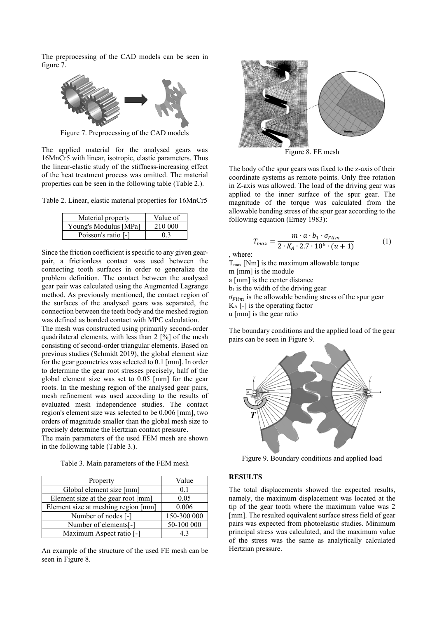The preprocessing of the CAD models can be seen in figure 7.



Figure 7. Preprocessing of the CAD models

The applied material for the analysed gears was 16MnCr5 with linear, isotropic, elastic parameters. Thus the linear-elastic study of the stiffness-increasing effect of the heat treatment process was omitted. The material properties can be seen in the following table (Table 2.).

Table 2. Linear, elastic material properties for 16MnCr5

| Material property     | Value of |
|-----------------------|----------|
| Young's Modulus [MPa] | 210 000  |
| Poisson's ratio [-]   | 0.3      |

Since the friction coefficient is specific to any given gearpair, a frictionless contact was used between the connecting tooth surfaces in order to generalize the problem definition. The contact between the analysed gear pair was calculated using the Augmented Lagrange method. As previously mentioned, the contact region of the surfaces of the analysed gears was separated, the connection between the teeth body and the meshed region was defined as bonded contact with MPC calculation.

The mesh was constructed using primarily second-order quadrilateral elements, with less than 2 [%] of the mesh consisting of second-order triangular elements. Based on previous studies (Schmidt 2019), the global element size for the gear geometries was selected to 0.1 [mm]. In order to determine the gear root stresses precisely, half of the global element size was set to 0.05 [mm] for the gear roots. In the meshing region of the analysed gear pairs, mesh refinement was used according to the results of evaluated mesh independence studies. The contact region's element size was selected to be 0.006 [mm], two orders of magnitude smaller than the global mesh size to precisely determine the Hertzian contact pressure.

The main parameters of the used FEM mesh are shown in the following table (Table 3.).

| Table 3. Main parameters of the FEM mesh |  |  |  |  |
|------------------------------------------|--|--|--|--|
|------------------------------------------|--|--|--|--|

| Property                            | Value       |
|-------------------------------------|-------------|
| Global element size [mm]            | 0.1         |
| Element size at the gear root [mm]  | 0.05        |
| Element size at meshing region [mm] | 0.006       |
| Number of nodes [-]                 | 150-300 000 |
| Number of elements[-]               | 50-100 000  |
| Maximum Aspect ratio [-]            | 43          |

An example of the structure of the used FE mesh can be seen in Figure 8.



Figure 8. FE mesh

The body of the spur gears was fixed to the z-axis of their coordinate systems as remote points. Only free rotation in Z-axis was allowed. The load of the driving gear was applied to the inner surface of the spur gear. The magnitude of the torque was calculated from the allowable bending stress of the spur gear according to the following equation (Erney 1983):

$$
T_{max} = \frac{m \cdot a \cdot b_1 \cdot \sigma_{Flim}}{2 \cdot K_A \cdot 2.7 \cdot 10^6 \cdot (u+1)}
$$
(1)

, where:

 $T<sub>max</sub>$  [Nm] is the maximum allowable torque m [mm] is the module a [mm] is the center distance  $b_1$  is the width of the driving gear  $\sigma_{Elim}$  is the allowable bending stress of the spur gear K<sup>A</sup> [-] is the operating factor u [mm] is the gear ratio

The boundary conditions and the applied load of the gear pairs can be seen in Figure 9.



Figure 9. Boundary conditions and applied load

### **RESULTS**

The total displacements showed the expected results, namely, the maximum displacement was located at the tip of the gear tooth where the maximum value was 2 [mm]. The resulted equivalent surface stress field of gear pairs was expected from photoelastic studies. Minimum principal stress was calculated, and the maximum value of the stress was the same as analytically calculated Hertzian pressure.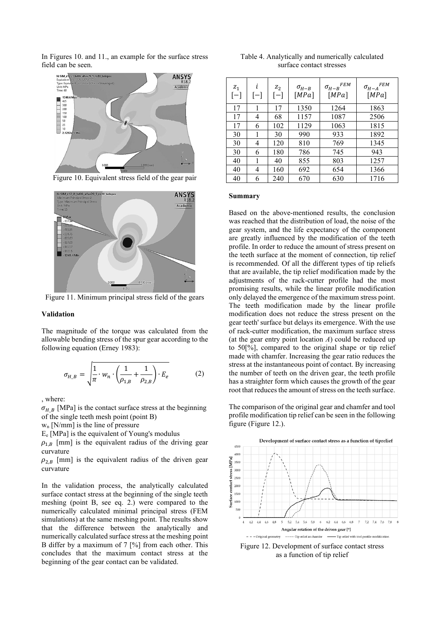In Figures 10. and 11., an example for the surface stress field can be seen.



Figure 10. Equivalent stress field of the gear pair



Figure 11. Minimum principal stress field of the gears

### **Validation**

The magnitude of the torque was calculated from the allowable bending stress of the spur gear according to the following equation (Erney 1983):

$$
\sigma_{H_{-}B} = \sqrt{\frac{1}{\pi} \cdot w_n \cdot \left(\frac{1}{\rho_{1,B}} + \frac{1}{\rho_{2,B}}\right) \cdot E_e}
$$
 (2)

, where:

 $\sigma_{H, B}$  [MPa] is the contact surface stress at the beginning of the single teeth mesh point (point B)

 $w_n$  [N/mm] is the line of pressure

E<sup>e</sup> [MPa] is the equivalent of Young's modulus

 $\rho_{1,B}$  [mm] is the equivalent radius of the driving gear curvature

 $\rho_{2,B}$  [mm] is the equivalent radius of the driven gear curvature

In the validation process, the analytically calculated surface contact stress at the beginning of the single teeth meshing (point B, see eq. 2.) were compared to the numerically calculated minimal principal stress (FEM simulations) at the same meshing point. The results show that the difference between the analytically and numerically calculated surface stress at the meshing point B differ by a maximum of  $7 \frac{1}{6}$  from each other. This concludes that the maximum contact stress at the beginning of the gear contact can be validated.

| Table 4. Analytically and numerically calculated |  |  |  |
|--------------------------------------------------|--|--|--|
| surface contact stresses                         |  |  |  |

| $\mathfrak{Z}_1$<br>$[-]$ | i<br>$ - $ | $Z_2$<br>$ - $ | $\sigma_{H-B}$<br>[MPa] | <b>FEM</b><br>$\sigma_{H-B}$<br>[MPa] | <b>FEM</b><br>$\sigma_{H-A}$<br>[MPa] |
|---------------------------|------------|----------------|-------------------------|---------------------------------------|---------------------------------------|
| 17                        | 1          | 17             | 1350                    | 1264                                  | 1863                                  |
| 17                        | 4          | 68             | 1157                    | 1087                                  | 2506                                  |
| 17                        | 6          | 102            | 1129                    | 1063                                  | 1815                                  |
| 30                        | 1          | 30             | 990                     | 933                                   | 1892                                  |
| 30                        | 4          | 120            | 810                     | 769                                   | 1345                                  |
| 30                        | 6          | 180            | 786                     | 745                                   | 943                                   |
| 40                        | 1          | 40             | 855                     | 803                                   | 1257                                  |
| 40                        | 4          | 160            | 692                     | 654                                   | 1366                                  |
| 40                        | 6          | 240            | 670                     | 630                                   | 1716                                  |

### **Summary**

Based on the above-mentioned results, the conclusion was reached that the distribution of load, the noise of the gear system, and the life expectancy of the component are greatly influenced by the modification of the teeth profile. In order to reduce the amount of stress present on the teeth surface at the moment of connection, tip relief is recommended. Of all the different types of tip reliefs that are available, the tip relief modification made by the adjustments of the rack-cutter profile had the most promising results, while the linear profile modification only delayed the emergence of the maximum stress point. The teeth modification made by the linear profile modification does not reduce the stress present on the gear teeth' surface but delays its emergence. With the use of rack-cutter modification, the maximum surface stress (at the gear entry point location *A*) could be reduced up to 50[%], compared to the original shape or tip relief made with chamfer. Increasing the gear ratio reduces the stress at the instantaneous point of contact. By increasing the number of teeth on the driven gear, the teeth profile has a straighter form which causes the growth of the gear root that reduces the amount of stress on the teeth surface.

The comparison of the original gear and chamfer and tool profile modification tip relief can be seen in the following figure (Figure 12.).



Figure 12. Development of surface contact stress as a function of tip relief